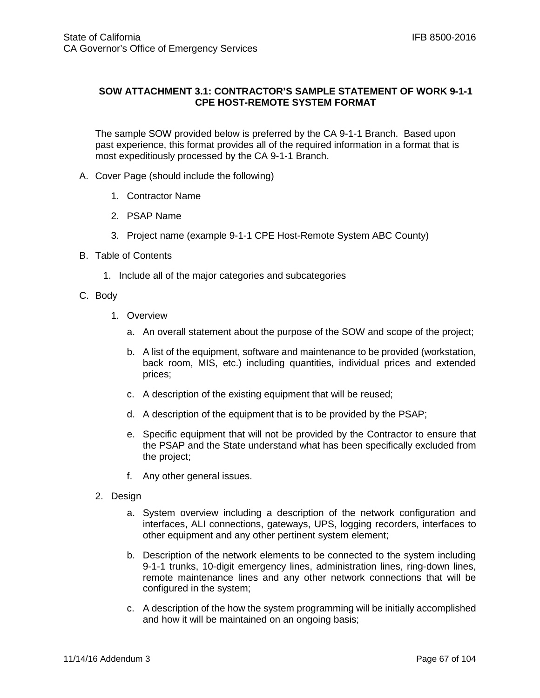## **SOW ATTACHMENT 3.1: CONTRACTOR'S SAMPLE STATEMENT OF WORK 9-1-1 CPE HOST-REMOTE SYSTEM FORMAT**

The sample SOW provided below is preferred by the CA 9-1-1 Branch. Based upon past experience, this format provides all of the required information in a format that is most expeditiously processed by the CA 9-1-1 Branch.

- A. Cover Page (should include the following)
	- 1. Contractor Name
	- 2. PSAP Name
	- 3. Project name (example 9-1-1 CPE Host-Remote System ABC County)
- B. Table of Contents
	- 1. Include all of the major categories and subcategories
- C. Body
	- 1. Overview
		- a. An overall statement about the purpose of the SOW and scope of the project;
		- b. A list of the equipment, software and maintenance to be provided (workstation, back room, MIS, etc.) including quantities, individual prices and extended prices;
		- c. A description of the existing equipment that will be reused;
		- d. A description of the equipment that is to be provided by the PSAP;
		- e. Specific equipment that will not be provided by the Contractor to ensure that the PSAP and the State understand what has been specifically excluded from the project;
		- f. Any other general issues.
	- 2. Design
		- a. System overview including a description of the network configuration and interfaces, ALI connections, gateways, UPS, logging recorders, interfaces to other equipment and any other pertinent system element;
		- b. Description of the network elements to be connected to the system including 9-1-1 trunks, 10-digit emergency lines, administration lines, ring-down lines, remote maintenance lines and any other network connections that will be configured in the system;
		- c. A description of the how the system programming will be initially accomplished and how it will be maintained on an ongoing basis;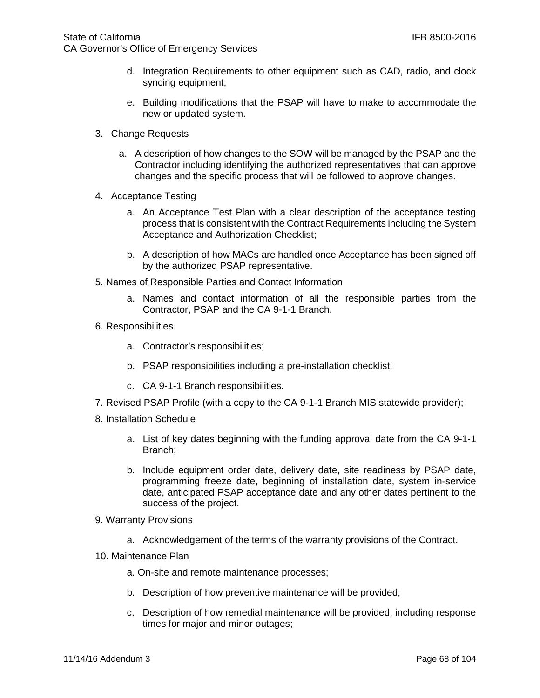- d. Integration Requirements to other equipment such as CAD, radio, and clock syncing equipment;
- e. Building modifications that the PSAP will have to make to accommodate the new or updated system.
- 3. Change Requests
	- a. A description of how changes to the SOW will be managed by the PSAP and the Contractor including identifying the authorized representatives that can approve changes and the specific process that will be followed to approve changes.
- 4. Acceptance Testing
	- a. An Acceptance Test Plan with a clear description of the acceptance testing process that is consistent with the Contract Requirements including the System Acceptance and Authorization Checklist;
	- b. A description of how MACs are handled once Acceptance has been signed off by the authorized PSAP representative.
- 5. Names of Responsible Parties and Contact Information
	- a. Names and contact information of all the responsible parties from the Contractor, PSAP and the CA 9-1-1 Branch.
- 6. Responsibilities
	- a. Contractor's responsibilities;
	- b. PSAP responsibilities including a pre-installation checklist;
	- c. CA 9-1-1 Branch responsibilities.
- 7. Revised PSAP Profile (with a copy to the CA 9-1-1 Branch MIS statewide provider);
- 8. Installation Schedule
	- a. List of key dates beginning with the funding approval date from the CA 9-1-1 Branch;
	- b. Include equipment order date, delivery date, site readiness by PSAP date, programming freeze date, beginning of installation date, system in-service date, anticipated PSAP acceptance date and any other dates pertinent to the success of the project.
- 9. Warranty Provisions
	- a. Acknowledgement of the terms of the warranty provisions of the Contract.
- 10. Maintenance Plan
	- a. On-site and remote maintenance processes;
	- b. Description of how preventive maintenance will be provided;
	- c. Description of how remedial maintenance will be provided, including response times for major and minor outages;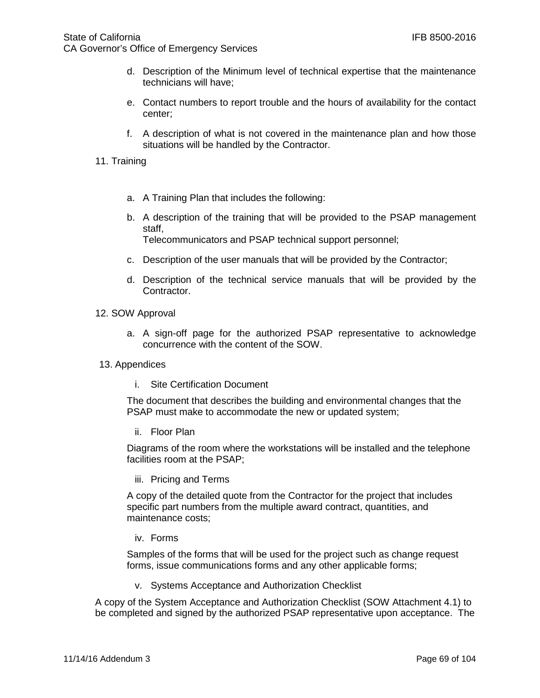- d. Description of the Minimum level of technical expertise that the maintenance technicians will have;
- e. Contact numbers to report trouble and the hours of availability for the contact center;
- f. A description of what is not covered in the maintenance plan and how those situations will be handled by the Contractor.
- 11. Training
	- a. A Training Plan that includes the following:
	- b. A description of the training that will be provided to the PSAP management staff,

Telecommunicators and PSAP technical support personnel;

- c. Description of the user manuals that will be provided by the Contractor;
- d. Description of the technical service manuals that will be provided by the Contractor.
- 12. SOW Approval
	- a. A sign-off page for the authorized PSAP representative to acknowledge concurrence with the content of the SOW.
- 13. Appendices
	- i. Site Certification Document

The document that describes the building and environmental changes that the PSAP must make to accommodate the new or updated system;

ii. Floor Plan

Diagrams of the room where the workstations will be installed and the telephone facilities room at the PSAP;

iii. Pricing and Terms

A copy of the detailed quote from the Contractor for the project that includes specific part numbers from the multiple award contract, quantities, and maintenance costs;

iv. Forms

Samples of the forms that will be used for the project such as change request forms, issue communications forms and any other applicable forms;

v. Systems Acceptance and Authorization Checklist

A copy of the System Acceptance and Authorization Checklist (SOW Attachment 4.1) to be completed and signed by the authorized PSAP representative upon acceptance. The